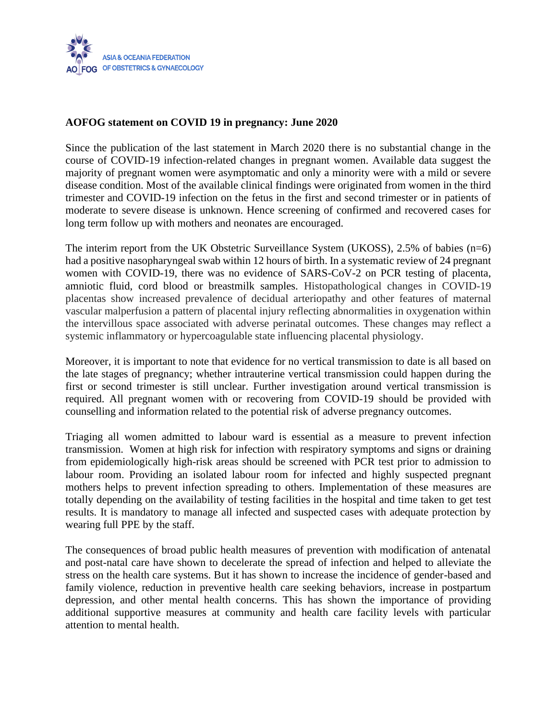

## **AOFOG statement on COVID 19 in pregnancy: June 2020**

Since the publication of the last statement in March 2020 there is no substantial change in the course of COVID-19 infection-related changes in pregnant women. Available data suggest the majority of pregnant women were asymptomatic and only a minority were with a mild or severe disease condition. Most of the available clinical findings were originated from women in the third trimester and COVID-19 infection on the fetus in the first and second trimester or in patients of moderate to severe disease is unknown. Hence screening of confirmed and recovered cases for long term follow up with mothers and neonates are encouraged.

The interim report from the UK Obstetric Surveillance System (UKOSS), 2.5% of babies (n=6) had a positive nasopharyngeal swab within 12 hours of birth. In a systematic review of 24 pregnant women with COVID-19, there was no evidence of SARS-CoV-2 on PCR testing of placenta, amniotic fluid, cord blood or breastmilk samples. Histopathological changes in COVID-19 placentas show increased prevalence of decidual arteriopathy and other features of maternal vascular malperfusion a pattern of placental injury reflecting abnormalities in oxygenation within the intervillous space associated with adverse perinatal outcomes. These changes may reflect a systemic inflammatory or hypercoagulable state influencing placental physiology.

Moreover, it is important to note that evidence for no vertical transmission to date is all based on the late stages of pregnancy; whether intrauterine vertical transmission could happen during the first or second trimester is still unclear. Further investigation around vertical transmission is required. All pregnant women with or recovering from COVID-19 should be provided with counselling and information related to the potential risk of adverse pregnancy outcomes.

Triaging all women admitted to labour ward is essential as a measure to prevent infection transmission. Women at high risk for infection with respiratory symptoms and signs or draining from epidemiologically high-risk areas should be screened with PCR test prior to admission to labour room. Providing an isolated labour room for infected and highly suspected pregnant mothers helps to prevent infection spreading to others. Implementation of these measures are totally depending on the availability of testing facilities in the hospital and time taken to get test results. It is mandatory to manage all infected and suspected cases with adequate protection by wearing full PPE by the staff.

The consequences of broad public health measures of prevention with modification of antenatal and post-natal care have shown to decelerate the spread of infection and helped to alleviate the stress on the health care systems. But it has shown to increase the incidence of gender-based and family violence, reduction in preventive health care seeking behaviors, increase in postpartum depression, and other mental health concerns. This has shown the importance of providing additional supportive measures at community and health care facility levels with particular attention to mental health.